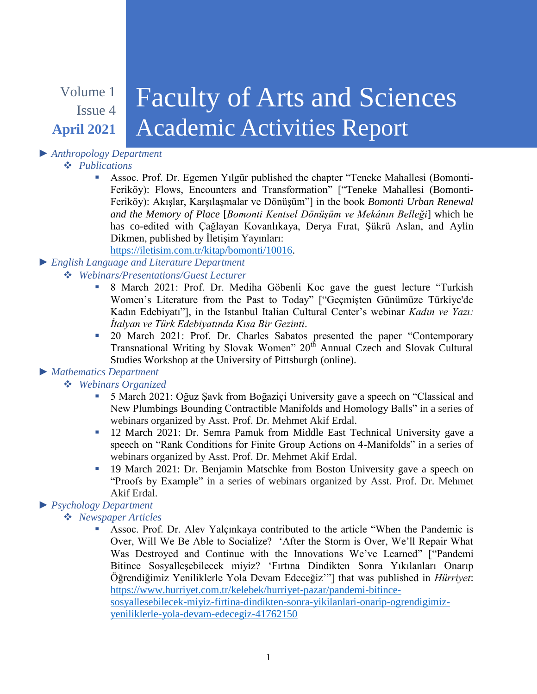# Volume 1 Issue 4 **April 2021**

# Faculty of Arts and Sciences Academic Activities Report

# *► Anthropology Department*

#### *Publications*

 Assoc. Prof. Dr. Egemen Yılgür published the chapter "Teneke Mahallesi (Bomonti-Feriköy): Flows, Encounters and Transformation" ["Teneke Mahallesi (Bomonti-Feriköy): Akışlar, Karşılaşmalar ve Dönüşüm"] in the book *Bomonti Urban Renewal and the Memory of Place* [*Bomonti Kentsel Dönüşüm ve Mekânın Belleği*] which he has co-edited with Çağlayan Kovanlıkaya, Derya Fırat, Şükrü Aslan, and Aylin Dikmen, published by İletişim Yayınları:

[https://iletisim.com.tr/kitap/bomonti/10016.](https://iletisim.com.tr/kitap/bomonti/10016)

## *► English Language and Literature Department*

#### *Webinars/Presentations/Guest Lecturer*

- 8 March 2021: Prof. Dr. Mediha Göbenli Koc gave the guest lecture "Turkish Women's Literature from the Past to Today" ["Geçmişten Günümüze Türkiye'de Kadın Edebiyatı"], in the Istanbul Italian Cultural Center's webinar *Kadın ve Yazı: İtalyan ve Türk Edebiyatında Kısa Bir Gezinti*.
- <sup>20</sup> March 2021: Prof. Dr. Charles Sabatos presented the paper "Contemporary Transnational Writing by Slovak Women" 20<sup>th</sup> Annual Czech and Slovak Cultural Studies Workshop at the University of Pittsburgh (online).

#### *► Mathematics Department*

## *Webinars Organized*

- 5 March 2021: Oğuz Şavk from Boğaziçi University gave a speech on "Classical and New Plumbings Bounding Contractible Manifolds and Homology Balls" in a series of webinars organized by Asst. Prof. Dr. Mehmet Akif Erdal.
- 12 March 2021: Dr. Semra Pamuk from Middle East Technical University gave a speech on "Rank Conditions for Finite Group Actions on 4-Manifolds" in a series of webinars organized by Asst. Prof. Dr. Mehmet Akif Erdal.
- <sup>19</sup> March 2021: Dr. Benjamin Matschke from Boston University gave a speech on "Proofs by Example" in a series of webinars organized by Asst. Prof. Dr. Mehmet Akif Erdal.

## *► Psychology Department*

#### *Newspaper Articles*

 Assoc. Prof. Dr. Alev Yalçınkaya contributed to the article "When the Pandemic is Over, Will We Be Able to Socialize? 'After the Storm is Over, We'll Repair What Was Destroyed and Continue with the Innovations We've Learned" ["Pandemi Bitince Sosyalleşebilecek miyiz? 'Fırtına Dindikten Sonra Yıkılanları Onarıp Öğrendiğimiz Yeniliklerle Yola Devam Edeceğiz'"] that was published in *Hürriyet*: [https://www.hurriyet.com.tr/kelebek/hurriyet-pazar/pandemi-bitince](https://www.hurriyet.com.tr/kelebek/hurriyet-pazar/pandemi-bitince-sosyallesebilecek-miyiz-firtina-dindikten-sonra-yikilanlari-onarip-ogrendigimiz-yeniliklerle-yola-devam-edecegiz-41762150)[sosyallesebilecek-miyiz-firtina-dindikten-sonra-yikilanlari-onarip-ogrendigimiz](https://www.hurriyet.com.tr/kelebek/hurriyet-pazar/pandemi-bitince-sosyallesebilecek-miyiz-firtina-dindikten-sonra-yikilanlari-onarip-ogrendigimiz-yeniliklerle-yola-devam-edecegiz-41762150)[yeniliklerle-yola-devam-edecegiz-41762150](https://www.hurriyet.com.tr/kelebek/hurriyet-pazar/pandemi-bitince-sosyallesebilecek-miyiz-firtina-dindikten-sonra-yikilanlari-onarip-ogrendigimiz-yeniliklerle-yola-devam-edecegiz-41762150)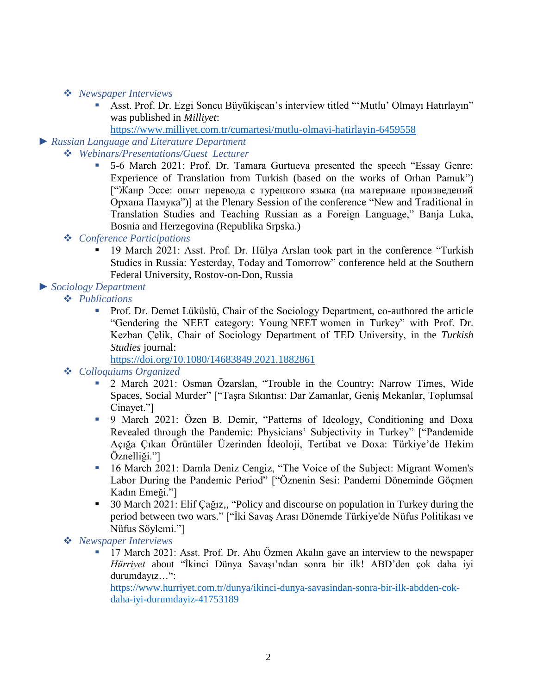#### *Newspaper Interviews*

- Asst. Prof. Dr. Ezgi Soncu Büyükişcan's interview titled "'Mutlu' Olmayı Hatırlayın" was published in *Milliyet*:
- <https://www.milliyet.com.tr/cumartesi/mutlu-olmayi-hatirlayin-6459558>
- *► Russian Language and Literature Department*
	- *Webinars/Presentations/Guest Lecturer*
		- 5-6 March 2021: Prof. Dr. Tamara Gurtueva presented the speech "Essay Genre: Experience of Translation from Turkish (based on the works of Orhan Pamuk") ["Жанр Эссе: опыт перевода с турецкого языка (на материале произведений Орхана Памука")] at the Plenary Session of the conference "New and Traditional in Translation Studies and Teaching Russian as a Foreign Language," Banja Luka, Bosnia and Herzegovina (Republika Srpska.)

#### *Conference Participations*

<sup>19</sup> March 2021: Asst. Prof. Dr. Hülya Arslan took part in the conference "Turkish Studies in Russia: Yesterday, Today and Tomorrow" conference held at the Southern Federal University, Rostov-on-Don, Russia

*► Sociology Department*

- *Publications*
	- Prof. Dr. Demet Lüküslü, Chair of the Sociology Department, co-authored the article "Gendering the NEET category: Young NEET women in Turkey" with Prof. Dr. Kezban Çelik, Chair of Sociology Department of TED University, in the *Turkish Studies* journal:

<https://doi.org/10.1080/14683849.2021.1882861>

#### *Colloquiums Organized*

- 2 March 2021: Osman Özarslan, "Trouble in the Country: Narrow Times, Wide Spaces, Social Murder" ["Taşra Sıkıntısı: Dar Zamanlar, Geniş Mekanlar, Toplumsal Cinayet."]
- 9 March 2021: Özen B. Demir, "Patterns of Ideology, Conditioning and Doxa Revealed through the Pandemic: Physicians' Subjectivity in Turkey" ["Pandemide Açığa Çıkan Örüntüler Üzerinden İdeoloji, Tertibat ve Doxa: Türkiye'de Hekim Öznelliği."]
- 16 March 2021: Damla Deniz Cengiz, "The Voice of the Subject: Migrant Women's Labor During the Pandemic Period" ["Öznenin Sesi: Pandemi Döneminde Göçmen Kadın Emeği."]
- 30 March 2021: Elif Çağız,, "Policy and discourse on population in Turkey during the period between two wars." ["İki Savaş Arası Dönemde Türkiye'de Nüfus Politikası ve Nüfus Söylemi."]

*Newspaper Interviews*

 17 March 2021: Asst. Prof. Dr. Ahu Özmen Akalın gave an interview to the newspaper *Hürriyet* about "İkinci Dünya Savaşı'ndan sonra bir ilk! ABD'den çok daha iyi durumdayız…":

https://www.hurriyet.com.tr/dunya/ikinci-dunya-savasindan-sonra-bir-ilk-abdden-cokdaha-iyi-durumdayiz-41753189